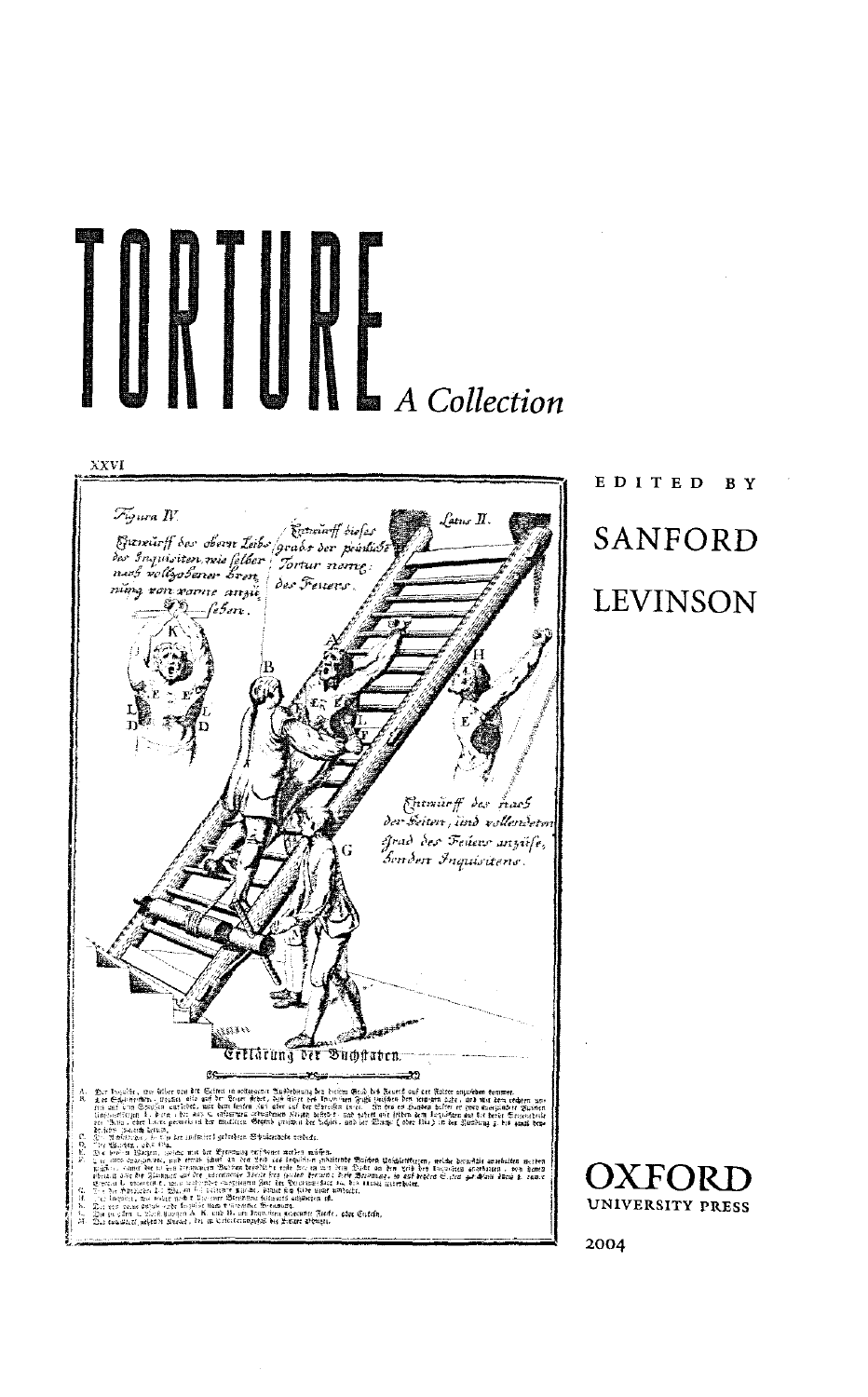

## EDITE D B Y SANFORD LEVINSON

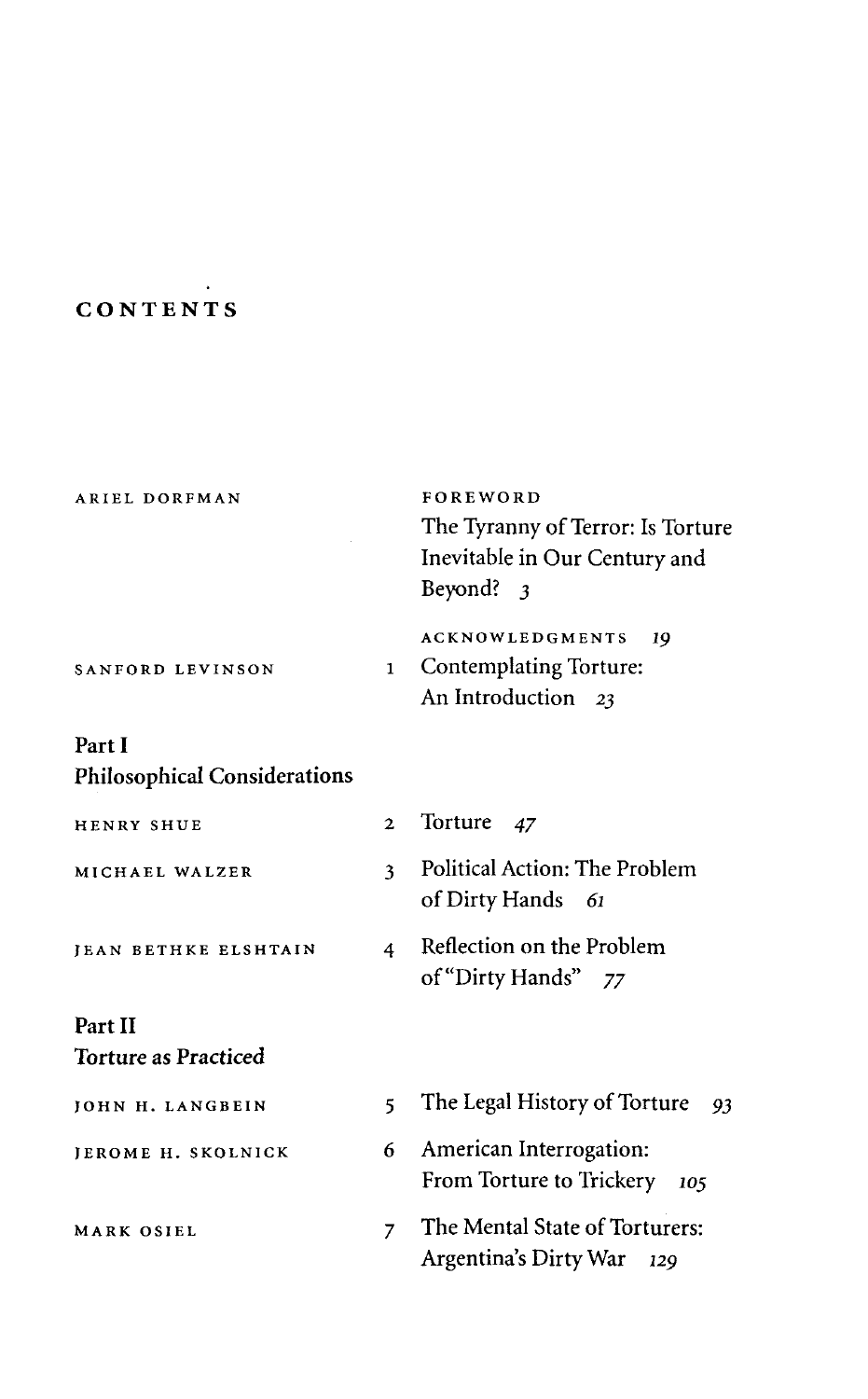## **CONTENTS**

 $\ddot{\phantom{a}}$ 

|                | FOREWORD<br>The Tyranny of Terror: Is Torture<br>Inevitable in Our Century and<br>Beyond? 3 |
|----------------|---------------------------------------------------------------------------------------------|
| 1              | <b>ACKNOWLEDGMENTS</b><br>19<br>Contemplating Torture:<br>An Introduction 23                |
|                |                                                                                             |
|                |                                                                                             |
| $\mathbf{2}$   | Torture<br>47                                                                               |
| 3              | Political Action: The Problem<br>of Dirty Hands<br>- 61                                     |
| 4              | Reflection on the Problem<br>of "Dirty Hands" 77                                            |
|                |                                                                                             |
|                |                                                                                             |
| 5              | The Legal History of Torture<br>-93                                                         |
| 6              | American Interrogation:<br>From Torture to Trickery<br>105                                  |
| $\overline{7}$ | The Mental State of Torturers:<br>Argentina's Dirty War<br>129                              |
|                |                                                                                             |